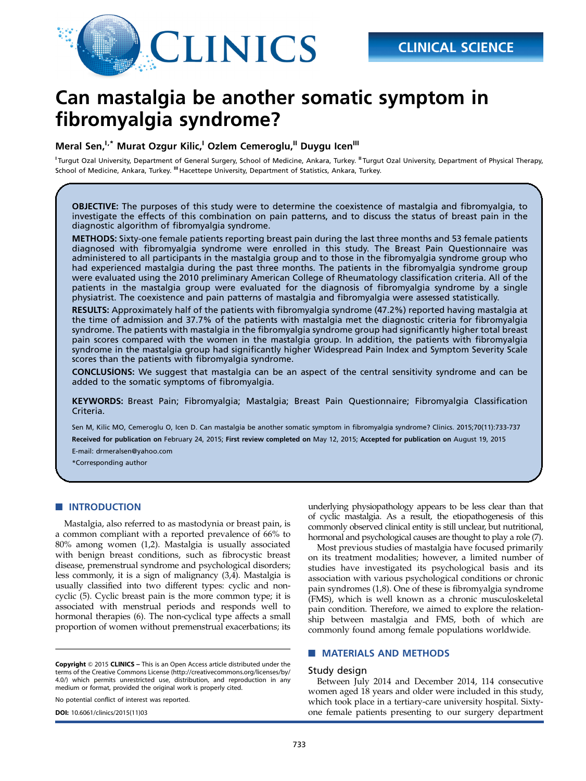

# Can mastalgia be another somatic symptom in fibromyalgia syndrome?

## Meral Sen,<sup>I,\*</sup> Murat Ozgur Kilic,<sup>I</sup> Ozlem Cemeroglu,<sup>II</sup> Duygu Icen<sup>III</sup>

<sup>I</sup> Turgut Ozal University, Department of General Surgery, School of Medicine, Ankara, Turkey. <sup>II</sup> Turgut Ozal University, Department of Physical Therapy, School of Medicine, Ankara, Turkey. <sup>III</sup> Hacettepe University, Department of Statistics, Ankara, Turkey.

OBJECTIVE: The purposes of this study were to determine the coexistence of mastalgia and fibromyalgia, to investigate the effects of this combination on pain patterns, and to discuss the status of breast pain in the diagnostic algorithm of fibromyalgia syndrome.

METHODS: Sixty-one female patients reporting breast pain during the last three months and 53 female patients diagnosed with fibromyalgia syndrome were enrolled in this study. The Breast Pain Questionnaire was administered to all participants in the mastalgia group and to those in the fibromyalgia syndrome group who had experienced mastalgia during the past three months. The patients in the fibromyalgia syndrome group were evaluated using the 2010 preliminary American College of Rheumatology classification criteria. All of the patients in the mastalgia group were evaluated for the diagnosis of fibromyalgia syndrome by a single physiatrist. The coexistence and pain patterns of mastalgia and fibromyalgia were assessed statistically.

RESULTS: Approximately half of the patients with fibromyalgia syndrome (47.2%) reported having mastalgia at the time of admission and 37.7% of the patients with mastalgia met the diagnostic criteria for fibromyalgia syndrome. The patients with mastalgia in the fibromyalgia syndrome group had significantly higher total breast pain scores compared with the women in the mastalgia group. In addition, the patients with fibromyalgia syndrome in the mastalgia group had significantly higher Widespread Pain Index and Symptom Severity Scale scores than the patients with fibromyalgia syndrome.

**CONCLUSIONS:** We suggest that mastalgia can be an aspect of the central sensitivity syndrome and can be added to the somatic symptoms of fibromyalgia.

KEYWORDS: Breast Pain; Fibromyalgia; Mastalgia; Breast Pain Questionnaire; Fibromyalgia Classification Criteria.

Sen M, Kilic MO, Cemeroglu O, Icen D. Can mastalgia be another somatic symptom in fibromyalgia syndrome? Clinics. 2015;70(11):733-737 Received for publication on February 24, 2015; First review completed on May 12, 2015; Accepted for publication on August 19, 2015

E-mail: drmeralsen@yahoo.com

\*Corresponding author

## **NUMBER OF INTRODUCTION**

Mastalgia, also referred to as mastodynia or breast pain, is a common compliant with a reported prevalence of 66% to 80% among women (1,2). Mastalgia is usually associated with benign breast conditions, such as fibrocystic breast disease, premenstrual syndrome and psychological disorders; less commonly, it is a sign of malignancy (3,4). Mastalgia is usually classified into two different types: cyclic and noncyclic (5). Cyclic breast pain is the more common type; it is associated with menstrual periods and responds well to hormonal therapies (6). The non-cyclical type affects a small proportion of women without premenstrual exacerbations; its

Copyright © 2015 CLINICS – This is an Open Access article distributed under the terms of the Creative Commons License (http://creativecommons.org/licenses/by/ 4.0/) which permits unrestricted use, distribution, and reproduction in any medium or format, provided the original work is properly cited.

No potential conflict of interest was reported.

underlying physiopathology appears to be less clear than that of cyclic mastalgia. As a result, the etiopathogenesis of this commonly observed clinical entity is still unclear, but nutritional, hormonal and psychological causes are thought to play a role (7).

Most previous studies of mastalgia have focused primarily on its treatment modalities; however, a limited number of studies have investigated its psychological basis and its association with various psychological conditions or chronic pain syndromes (1,8). One of these is fibromyalgia syndrome (FMS), which is well known as a chronic musculoskeletal pain condition. Therefore, we aimed to explore the relationship between mastalgia and FMS, both of which are commonly found among female populations worldwide.

## **NATERIALS AND METHODS**

#### Study design

Between July 2014 and December 2014, 114 consecutive women aged 18 years and older were included in this study, which took place in a tertiary-care university hospital. Sixty-DOI: 10.6061/clinics/2015(11)03 one female patients presenting to our surgery department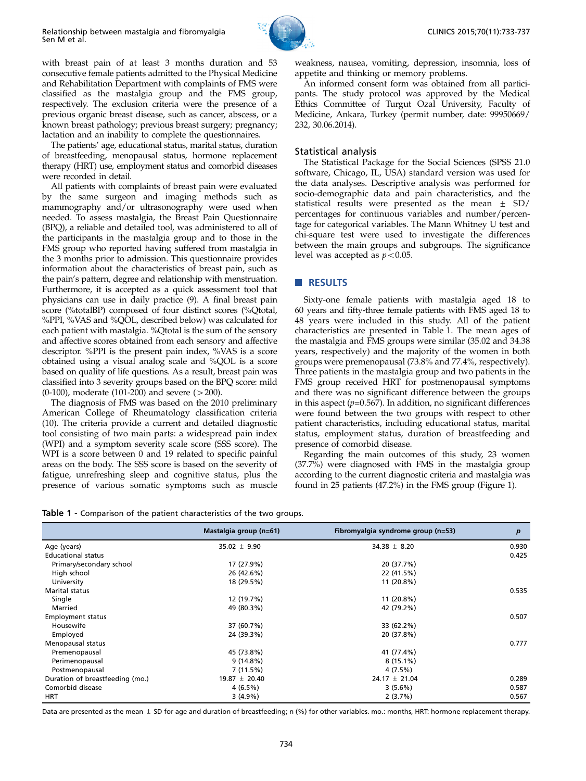

with breast pain of at least 3 months duration and 53 consecutive female patients admitted to the Physical Medicine and Rehabilitation Department with complaints of FMS were classified as the mastalgia group and the FMS group, respectively. The exclusion criteria were the presence of a previous organic breast disease, such as cancer, abscess, or a known breast pathology; previous breast surgery; pregnancy; lactation and an inability to complete the questionnaires.

The patients' age, educational status, marital status, duration of breastfeeding, menopausal status, hormone replacement therapy (HRT) use, employment status and comorbid diseases were recorded in detail.

All patients with complaints of breast pain were evaluated by the same surgeon and imaging methods such as mammography and/or ultrasonography were used when needed. To assess mastalgia, the Breast Pain Questionnaire (BPQ), a reliable and detailed tool, was administered to all of the participants in the mastalgia group and to those in the FMS group who reported having suffered from mastalgia in the 3 months prior to admission. This questionnaire provides information about the characteristics of breast pain, such as the pain's pattern, degree and relationship with menstruation. Furthermore, it is accepted as a quick assessment tool that physicians can use in daily practice (9). A final breast pain score (%totalBP) composed of four distinct scores (%Qtotal, %PPI, %VAS and %QOL, described below) was calculated for each patient with mastalgia. %Qtotal is the sum of the sensory and affective scores obtained from each sensory and affective descriptor. %PPI is the present pain index, %VAS is a score obtained using a visual analog scale and %QOL is a score based on quality of life questions. As a result, breast pain was classified into 3 severity groups based on the BPQ score: mild (0-100), moderate (101-200) and severe  $(>200)$ .

The diagnosis of FMS was based on the 2010 preliminary American College of Rheumatology classification criteria (10). The criteria provide a current and detailed diagnostic tool consisting of two main parts: a widespread pain index (WPI) and a symptom severity scale score (SSS score). The WPI is a score between 0 and 19 related to specific painful areas on the body. The SSS score is based on the severity of fatigue, unrefreshing sleep and cognitive status, plus the presence of various somatic symptoms such as muscle weakness, nausea, vomiting, depression, insomnia, loss of appetite and thinking or memory problems.

An informed consent form was obtained from all participants. The study protocol was approved by the Medical Ethics Committee of Turgut Ozal University, Faculty of Medicine, Ankara, Turkey (permit number, date: 99950669/ 232, 30.06.2014).

#### Statistical analysis

The Statistical Package for the Social Sciences (SPSS 21.0 software, Chicago, IL, USA) standard version was used for the data analyses. Descriptive analysis was performed for socio-demographic data and pain characteristics, and the statistical results were presented as the mean ± SD/ percentages for continuous variables and number/percentage for categorical variables. The Mann Whitney U test and chi-square test were used to investigate the differences between the main groups and subgroups. The significance level was accepted as  $p < 0.05$ .

#### RESULTS

Sixty-one female patients with mastalgia aged 18 to 60 years and fifty-three female patients with FMS aged 18 to 48 years were included in this study. All of the patient characteristics are presented in Table 1. The mean ages of the mastalgia and FMS groups were similar (35.02 and 34.38 years, respectively) and the majority of the women in both groups were premenopausal (73.8% and 77.4%, respectively). Three patients in the mastalgia group and two patients in the FMS group received HRT for postmenopausal symptoms and there was no significant difference between the groups in this aspect  $(p=0.567)$ . In addition, no significant differences were found between the two groups with respect to other patient characteristics, including educational status, marital status, employment status, duration of breastfeeding and presence of comorbid disease.

Regarding the main outcomes of this study, 23 women (37.7%) were diagnosed with FMS in the mastalgia group according to the current diagnostic criteria and mastalgia was found in 25 patients (47.2%) in the FMS group (Figure 1).

Table 1 - Comparison of the patient characteristics of the two groups.

|                                 | Mastalgia group (n=61) | Fibromyalgia syndrome group (n=53) | $\boldsymbol{p}$ |
|---------------------------------|------------------------|------------------------------------|------------------|
| Age (years)                     | $35.02 \pm 9.90$       | 34.38 $\pm$ 8.20                   | 0.930            |
| <b>Educational status</b>       |                        |                                    | 0.425            |
| Primary/secondary school        | 17 (27.9%)             | 20 (37.7%)                         |                  |
| High school                     | 26 (42.6%)             | 22 (41.5%)                         |                  |
| University                      | 18 (29.5%)             | 11 (20.8%)                         |                  |
| Marital status                  |                        |                                    | 0.535            |
| Single                          | 12 (19.7%)             | 11 (20.8%)                         |                  |
| Married                         | 49 (80.3%)             | 42 (79.2%)                         |                  |
| <b>Employment status</b>        |                        |                                    | 0.507            |
| Housewife                       | 37 (60.7%)             | 33 (62.2%)                         |                  |
| Employed                        | 24 (39.3%)             | 20 (37.8%)                         |                  |
| Menopausal status               |                        |                                    | 0.777            |
| Premenopausal                   | 45 (73.8%)             | 41 (77.4%)                         |                  |
| Perimenopausal                  | $9(14.8\%)$            | $8(15.1\%)$                        |                  |
| Postmenopausal                  | 7(11.5%)               | 4 (7.5%)                           |                  |
| Duration of breastfeeding (mo.) | $19.87 \pm 20.40$      | $24.17 \pm 21.04$                  | 0.289            |
| Comorbid disease                | 4(6.5%)                | 3(5.6%)                            | 0.587            |
| <b>HRT</b>                      | $3(4.9\%)$             | 2(3.7%)                            | 0.567            |

Data are presented as the mean  $\pm$  SD for age and duration of breastfeeding; n (%) for other variables. mo.: months, HRT: hormone replacement therapy.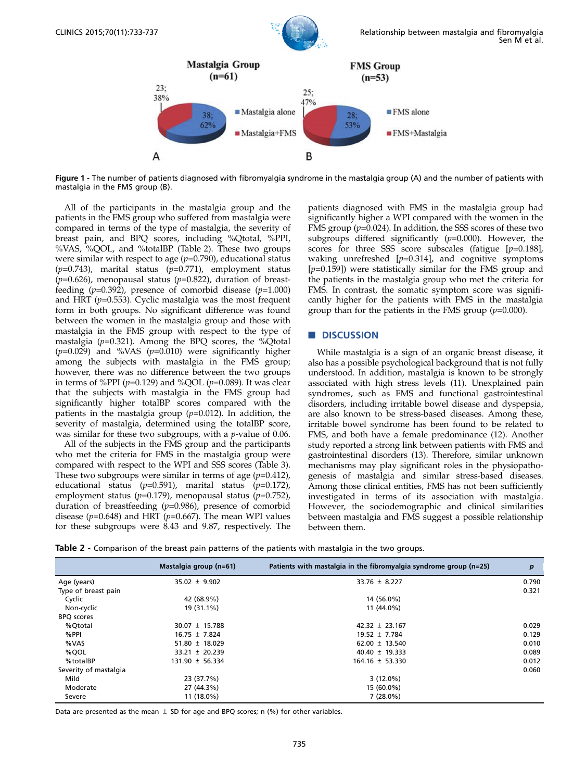

Figure 1 - The number of patients diagnosed with fibromyalgia syndrome in the mastalgia group (A) and the number of patients with mastalgia in the FMS group (B).

All of the participants in the mastalgia group and the patients in the FMS group who suffered from mastalgia were compared in terms of the type of mastalgia, the severity of breast pain, and BPQ scores, including %Qtotal, %PPI, %VAS, %QOL, and %totalBP (Table 2). These two groups were similar with respect to age  $(p=0.790)$ , educational status  $(p=0.743)$ , marital status  $(p=0.771)$ , employment status ( $p=0.626$ ), menopausal status ( $p=0.822$ ), duration of breastfeeding  $(p=0.392)$ , presence of comorbid disease  $(p=1.000)$ and HRT ( $p=0.553$ ). Cyclic mastalgia was the most frequent form in both groups. No significant difference was found between the women in the mastalgia group and those with mastalgia in the FMS group with respect to the type of mastalgia ( $p=0.321$ ). Among the BPQ scores, the %Qtotal  $(p=0.029)$  and %VAS  $(p=0.010)$  were significantly higher among the subjects with mastalgia in the FMS group; however, there was no difference between the two groups in terms of %PPI ( $p=0.129$ ) and %QOL ( $p=0.089$ ). It was clear that the subjects with mastalgia in the FMS group had significantly higher totalBP scores compared with the patients in the mastalgia group  $(p=0.012)$ . In addition, the severity of mastalgia, determined using the totalBP score, was similar for these two subgroups, with a *p*-value of 0.06.

All of the subjects in the FMS group and the participants who met the criteria for FMS in the mastalgia group were compared with respect to the WPI and SSS scores (Table 3). These two subgroups were similar in terms of age  $(p=0.412)$ , educational status ( $p=0.591$ ), marital status ( $p=0.172$ ), employment status ( $p=0.179$ ), menopausal status ( $p=0.752$ ), duration of breastfeeding  $(p=0.986)$ , presence of comorbid disease ( $p=0.648$ ) and HRT ( $p=0.667$ ). The mean WPI values for these subgroups were 8.43 and 9.87, respectively. The

patients diagnosed with FMS in the mastalgia group had significantly higher a WPI compared with the women in the FMS group  $(p=0.024)$ . In addition, the SSS scores of these two subgroups differed significantly  $(p=0.000)$ . However, the scores for three SSS score subscales (fatigue [p=0.188], waking unrefreshed  $[p=0.314]$ , and cognitive symptoms  $[p=0.159]$ ) were statistically similar for the FMS group and the patients in the mastalgia group who met the criteria for FMS. In contrast, the somatic symptom score was significantly higher for the patients with FMS in the mastalgia group than for the patients in the FMS group  $(p=0.000)$ .

## **DISCUSSION**

While mastalgia is a sign of an organic breast disease, it also has a possible psychological background that is not fully understood. In addition, mastalgia is known to be strongly associated with high stress levels (11). Unexplained pain syndromes, such as FMS and functional gastrointestinal disorders, including irritable bowel disease and dyspepsia, are also known to be stress-based diseases. Among these, irritable bowel syndrome has been found to be related to FMS, and both have a female predominance (12). Another study reported a strong link between patients with FMS and gastrointestinal disorders (13). Therefore, similar unknown mechanisms may play significant roles in the physiopathogenesis of mastalgia and similar stress-based diseases. Among those clinical entities, FMS has not been sufficiently investigated in terms of its association with mastalgia. However, the sociodemographic and clinical similarities between mastalgia and FMS suggest a possible relationship between them.

Table 2 - Comparison of the breast pain patterns of the patients with mastalgia in the two groups.

|                       | Mastalgia group (n=61) | Patients with mastalgia in the fibromyalgia syndrome group $(n=25)$ | $\boldsymbol{p}$ |
|-----------------------|------------------------|---------------------------------------------------------------------|------------------|
| Age (years)           | $35.02 \pm 9.902$      | 33.76 $\pm$ 8.227                                                   | 0.790            |
| Type of breast pain   |                        |                                                                     | 0.321            |
| Cyclic                | 42 (68.9%)             | 14 (56.0%)                                                          |                  |
| Non-cyclic            | 19 (31.1%)             | 11 (44.0%)                                                          |                  |
| <b>BPO</b> scores     |                        |                                                                     |                  |
| %Ototal               | $30.07 \pm 15.788$     | $42.32 \pm 23.167$                                                  | 0.029            |
| %PPI                  | $16.75 \pm 7.824$      | $19.52 \pm 7.784$                                                   | 0.129            |
| %VAS                  | 51.80 $\pm$ 18.029     | 62.00 $\pm$ 13.540                                                  | 0.010            |
| %OOL                  | $33.21 \pm 20.239$     | $40.40 \pm 19.333$                                                  | 0.089            |
| %totalBP              | $131.90 \pm 56.334$    | $164.16 \pm 53.330$                                                 | 0.012            |
| Severity of mastalgia |                        |                                                                     | 0.060            |
| Mild                  | 23 (37.7%)             | $3(12.0\%)$                                                         |                  |
| Moderate              | 27 (44.3%)             | 15 (60.0%)                                                          |                  |
| Severe                | $11(18.0\%)$           | $7(28.0\%)$                                                         |                  |

Data are presented as the mean  $\pm$  SD for age and BPQ scores; n (%) for other variables.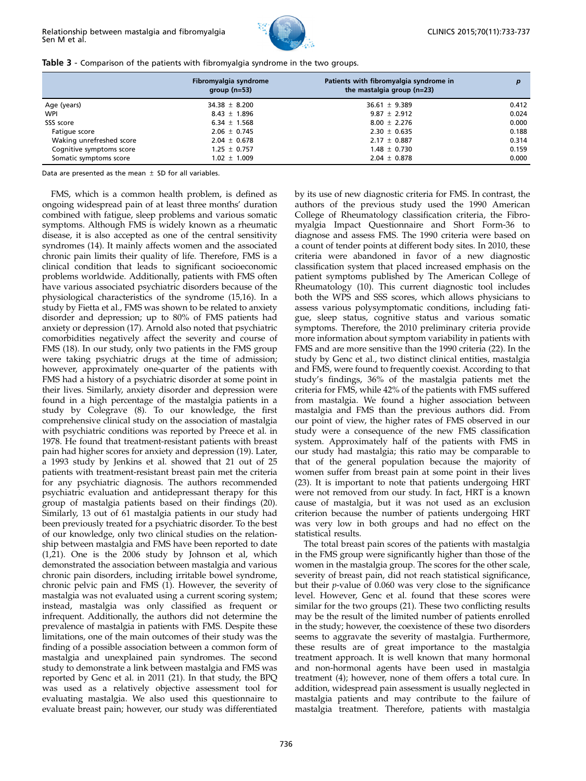

|  | Table 3 - Comparison of the patients with fibromyalgia syndrome in the two groups. |  |  |  |  |  |  |
|--|------------------------------------------------------------------------------------|--|--|--|--|--|--|
|--|------------------------------------------------------------------------------------|--|--|--|--|--|--|

|                          | Fibromyalgia syndrome<br>group $(n=53)$ | Patients with fibromyalgia syndrome in<br>the mastalgia group $(n=23)$ |       |
|--------------------------|-----------------------------------------|------------------------------------------------------------------------|-------|
| Age (years)              | $34.38 \pm 8.200$                       | $36.61 \pm 9.389$                                                      | 0.412 |
| WPI                      | $8.43 \pm 1.896$                        | $9.87 \pm 2.912$                                                       | 0.024 |
| SSS score                | 6.34 $\pm$ 1.568                        | $8.00 \pm 2.276$                                                       | 0.000 |
| Fatique score            | $2.06 \pm 0.745$                        | $2.30 \pm 0.635$                                                       | 0.188 |
| Waking unrefreshed score | $2.04 \pm 0.678$                        | $2.17 \pm 0.887$                                                       | 0.314 |
| Cognitive symptoms score | $1.25 \pm 0.757$                        | $1.48 \pm 0.730$                                                       | 0.159 |
| Somatic symptoms score   | $1.02 \pm 1.009$                        | $2.04 \pm 0.878$                                                       | 0.000 |

Data are presented as the mean  $\pm$  SD for all variables.

FMS, which is a common health problem, is defined as ongoing widespread pain of at least three months' duration combined with fatigue, sleep problems and various somatic symptoms. Although FMS is widely known as a rheumatic disease, it is also accepted as one of the central sensitivity syndromes (14). It mainly affects women and the associated chronic pain limits their quality of life. Therefore, FMS is a clinical condition that leads to significant socioeconomic problems worldwide. Additionally, patients with FMS often have various associated psychiatric disorders because of the physiological characteristics of the syndrome (15,16). In a study by Fietta et al., FMS was shown to be related to anxiety disorder and depression; up to 80% of FMS patients had anxiety or depression (17). Arnold also noted that psychiatric comorbidities negatively affect the severity and course of FMS (18). In our study, only two patients in the FMS group were taking psychiatric drugs at the time of admission; however, approximately one-quarter of the patients with FMS had a history of a psychiatric disorder at some point in their lives. Similarly, anxiety disorder and depression were found in a high percentage of the mastalgia patients in a study by Colegrave (8). To our knowledge, the first comprehensive clinical study on the association of mastalgia with psychiatric conditions was reported by Preece et al. in 1978. He found that treatment-resistant patients with breast pain had higher scores for anxiety and depression (19). Later, a 1993 study by Jenkins et al. showed that 21 out of 25 patients with treatment-resistant breast pain met the criteria for any psychiatric diagnosis. The authors recommended psychiatric evaluation and antidepressant therapy for this group of mastalgia patients based on their findings (20). Similarly, 13 out of 61 mastalgia patients in our study had been previously treated for a psychiatric disorder. To the best of our knowledge, only two clinical studies on the relationship between mastalgia and FMS have been reported to date (1,21). One is the 2006 study by Johnson et al, which demonstrated the association between mastalgia and various chronic pain disorders, including irritable bowel syndrome, chronic pelvic pain and FMS (1). However, the severity of mastalgia was not evaluated using a current scoring system; instead, mastalgia was only classified as frequent or infrequent. Additionally, the authors did not determine the prevalence of mastalgia in patients with FMS. Despite these limitations, one of the main outcomes of their study was the finding of a possible association between a common form of mastalgia and unexplained pain syndromes. The second study to demonstrate a link between mastalgia and FMS was reported by Genc et al. in 2011 (21). In that study, the BPQ was used as a relatively objective assessment tool for evaluating mastalgia. We also used this questionnaire to evaluate breast pain; however, our study was differentiated

by its use of new diagnostic criteria for FMS. In contrast, the authors of the previous study used the 1990 American College of Rheumatology classification criteria, the Fibromyalgia Impact Questionnaire and Short Form-36 to diagnose and assess FMS. The 1990 criteria were based on a count of tender points at different body sites. In 2010, these criteria were abandoned in favor of a new diagnostic classification system that placed increased emphasis on the patient symptoms published by The American College of Rheumatology (10). This current diagnostic tool includes both the WPS and SSS scores, which allows physicians to assess various polysymptomatic conditions, including fatigue, sleep status, cognitive status and various somatic symptoms. Therefore, the 2010 preliminary criteria provide more information about symptom variability in patients with FMS and are more sensitive than the 1990 criteria (22). In the study by Genc et al., two distinct clinical entities, mastalgia and FMS, were found to frequently coexist. According to that study's findings, 36% of the mastalgia patients met the criteria for FMS, while 42% of the patients with FMS suffered from mastalgia. We found a higher association between mastalgia and FMS than the previous authors did. From our point of view, the higher rates of FMS observed in our study were a consequence of the new FMS classification system. Approximately half of the patients with FMS in our study had mastalgia; this ratio may be comparable to that of the general population because the majority of women suffer from breast pain at some point in their lives (23). It is important to note that patients undergoing HRT were not removed from our study. In fact, HRT is a known cause of mastalgia, but it was not used as an exclusion criterion because the number of patients undergoing HRT was very low in both groups and had no effect on the statistical results.

The total breast pain scores of the patients with mastalgia in the FMS group were significantly higher than those of the women in the mastalgia group. The scores for the other scale, severity of breast pain, did not reach statistical significance, but their p-value of 0.060 was very close to the significance level. However, Genc et al. found that these scores were similar for the two groups (21). These two conflicting results may be the result of the limited number of patients enrolled in the study; however, the coexistence of these two disorders seems to aggravate the severity of mastalgia. Furthermore, these results are of great importance to the mastalgia treatment approach. It is well known that many hormonal and non-hormonal agents have been used in mastalgia treatment (4); however, none of them offers a total cure. In addition, widespread pain assessment is usually neglected in mastalgia patients and may contribute to the failure of mastalgia treatment. Therefore, patients with mastalgia